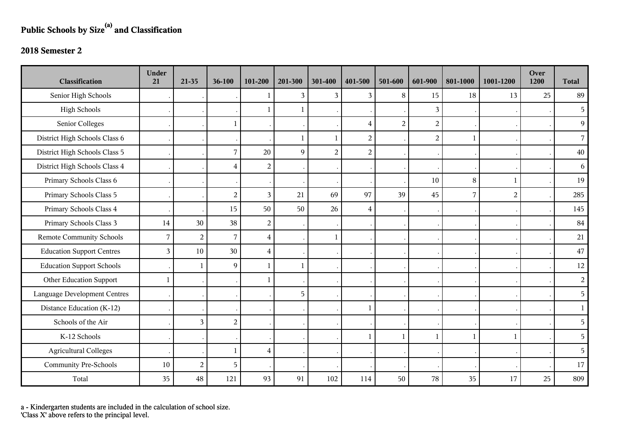## **Public Schools by Size(a) and Classification**

## **2018 Semester 2**

| <b>Classification</b>               | <b>Under</b><br>21 | 21-35          | 36-100         | 101-200        | 201-300 | 301-400        | 401-500                 | 501-600        | 601-900        | 801-1000       | 1001-1200      | Over<br>1200 | <b>Total</b>   |
|-------------------------------------|--------------------|----------------|----------------|----------------|---------|----------------|-------------------------|----------------|----------------|----------------|----------------|--------------|----------------|
| Senior High Schools                 |                    |                |                | J.             | 3       | 3              | 3                       | 8              | 15             | 18             | 13             | 25           | 89             |
| <b>High Schools</b>                 |                    |                |                | 1              | -1      |                |                         |                | 3              |                |                |              | 5              |
| Senior Colleges                     |                    |                | $\mathbf{1}$   |                |         |                | 4                       | $\overline{2}$ | $\overline{a}$ |                |                |              | 9              |
| District High Schools Class 6       |                    |                |                |                | 1       | $\mathbf{1}$   | $\overline{c}$          |                | $\overline{2}$ | $\mathbf{1}$   |                |              | $\overline{7}$ |
| District High Schools Class 5       |                    |                | $\overline{7}$ | 20             | 9       | $\overline{2}$ | $\boldsymbol{2}$        |                |                |                |                |              | 40             |
| District High Schools Class 4       |                    |                | $\overline{4}$ | 2              |         |                |                         |                |                |                |                |              | 6              |
| Primary Schools Class 6             |                    |                |                |                |         |                |                         |                | 10             | 8              | $\mathbf{1}$   |              | 19             |
| Primary Schools Class 5             |                    |                | $\overline{2}$ | 3              | 21      | 69             | 97                      | 39             | 45             | $\overline{7}$ | $\overline{2}$ |              | 285            |
| Primary Schools Class 4             |                    |                | 15             | 50             | 50      | 26             | $\overline{\mathbf{4}}$ |                |                |                |                |              | 145            |
| Primary Schools Class 3             | 14                 | 30             | 38             | $\overline{c}$ |         |                |                         |                |                |                |                |              | 84             |
| <b>Remote Community Schools</b>     | $\overline{7}$     | $\overline{c}$ | $\overline{7}$ | 4              |         | -1             |                         |                |                |                |                |              | 21             |
| <b>Education Support Centres</b>    | 3                  | $10\,$         | 30             | $\overline{4}$ |         |                |                         |                |                |                |                |              | $47\,$         |
| <b>Education Support Schools</b>    |                    | 1              | 9              | $\mathbf{1}$   | 1       |                |                         |                |                |                |                |              | 12             |
| Other Education Support             | $\mathbf{1}$       |                |                | $\mathbf{1}$   |         |                |                         |                |                |                |                |              | $\overline{a}$ |
| <b>Language Development Centres</b> |                    |                |                |                | 5       |                |                         |                |                |                |                |              | 5 <sup>1</sup> |
| Distance Education (K-12)           |                    |                |                |                |         |                | 1                       |                |                |                |                |              | $\mathbf{1}$   |
| Schools of the Air                  |                    | 3              | $\overline{c}$ |                |         |                |                         |                |                |                |                |              | 5              |
| K-12 Schools                        |                    |                |                |                |         |                | 1                       | $\mathbf{1}$   |                | $\mathbf{1}$   | $\mathbf{1}$   |              | 5              |
| <b>Agricultural Colleges</b>        |                    |                | $\mathbf{1}$   | 4              |         |                |                         |                |                |                |                |              | 5              |
| <b>Community Pre-Schools</b>        | 10                 | $\overline{2}$ | 5              |                |         |                |                         |                |                |                |                |              | 17             |
| Total                               | 35                 | 48             | 121            | 93             | 91      | 102            | 114                     | 50             | 78             | 35             | 17             | 25           | 809            |

a - Kindergarten students are included in the calculation of school size.

'Class X' above refers to the principal level.